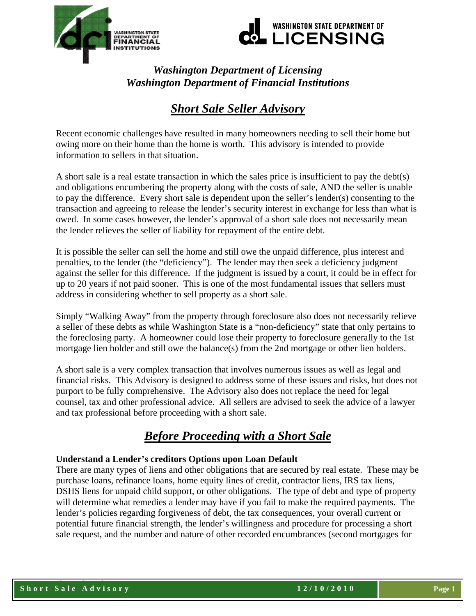



# *Washington Department of Licensing Washington Department of Financial Institutions*

# *Short Sale Seller Advisory*

Recent economic challenges have resulted in many homeowners needing to sell their home but owing more on their home than the home is worth. This advisory is intended to provide information to sellers in that situation.

A short sale is a real estate transaction in which the sales price is insufficient to pay the debt(s) and obligations encumbering the property along with the costs of sale, AND the seller is unable to pay the difference. Every short sale is dependent upon the seller's lender(s) consenting to the transaction and agreeing to release the lender's security interest in exchange for less than what is owed. In some cases however, the lender's approval of a short sale does not necessarily mean the lender relieves the seller of liability for repayment of the entire debt.

It is possible the seller can sell the home and still owe the unpaid difference, plus interest and penalties, to the lender (the "deficiency"). The lender may then seek a deficiency judgment against the seller for this difference. If the judgment is issued by a court, it could be in effect for up to 20 years if not paid sooner. This is one of the most fundamental issues that sellers must address in considering whether to sell property as a short sale.

Simply "Walking Away" from the property through foreclosure also does not necessarily relieve a seller of these debts as while Washington State is a "non-deficiency" state that only pertains to the foreclosing party. A homeowner could lose their property to foreclosure generally to the 1st mortgage lien holder and still owe the balance(s) from the 2nd mortgage or other lien holders.

A short sale is a very complex transaction that involves numerous issues as well as legal and financial risks. This Advisory is designed to address some of these issues and risks, but does not purport to be fully comprehensive. The Advisory also does not replace the need for legal counsel, tax and other professional advice. All sellers are advised to seek the advice of a lawyer and tax professional before proceeding with a short sale.

# *Before Proceeding with a Short Sale*

# **Understand a Lender's creditors Options upon Loan Default**

There are many types of liens and other obligations that are secured by real estate. These may be purchase loans, refinance loans, home equity lines of credit, contractor liens, IRS tax liens, DSHS liens for unpaid child support, or other obligations. The type of debt and type of property will determine what remedies a lender may have if you fail to make the required payments. The lender's policies regarding forgiveness of debt, the tax consequences, your overall current or potential future financial strength, the lender's willingness and procedure for processing a short sale request, and the number and nature of other recorded encumbrances (second mortgages for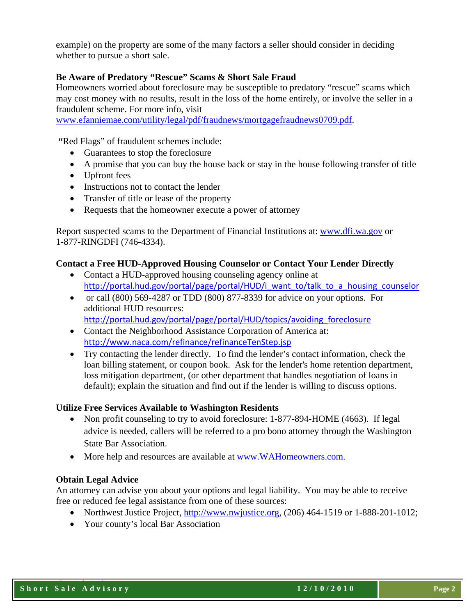example) on the property are some of the many factors a seller should consider in deciding whether to pursue a short sale.

# **Be Aware of Predatory "Rescue" Scams & Short Sale Fraud**

Homeowners worried about foreclosure may be susceptible to predatory "rescue" scams which may cost money with no results, result in the loss of the home entirely, or involve the seller in a fraudulent scheme. For more info, visit

[www.efanniemae.com/utility/legal/pdf/fraudnews/mortgagefraudnews0709.pdf.](http://www.efanniemae.com/utility/legal/pdf/fraudnews/mortgagefraudnews0709.pdf)

 **"**Red Flags" of fraudulent schemes include:

- Guarantees to stop the foreclosure
- A promise that you can buy the house back or stay in the house following transfer of title
- Upfront fees
- Instructions not to contact the lender
- Transfer of title or lease of the property
- Requests that the homeowner execute a power of attorney

Report suspected scams to the Department of Financial Institutions at: [www.dfi.wa.gov](http://www.dfi.wa.gov/) or 1-877-RINGDFI (746-4334).

#### **Contact a Free HUD-Approved Housing Counselor or Contact Your Lender Directly**

- Contact a HUD-approved housing counseling agency online at [http://portal.hud.gov/portal/page/portal/HUD/i\\_want\\_to/talk\\_to\\_a\\_housing\\_counselor](http://portal.hud.gov/portal/page/portal/HUD/i_want_to/talk_to_a_housing_counselor)
- or call (800) 569-4287 or TDD (800) 877-8339 for advice on your options. For additional HUD resources:

[http://portal.hud.gov/portal/page/portal/HUD/topics/avoiding\\_foreclosure](http://portal.hud.gov/portal/page/portal/HUD/topics/avoiding_foreclosure)

- Contact the Neighborhood Assistance Corporation of America at: <http://www.naca.com/refinance/refinanceTenStep.jsp>
- Try contacting the lender directly. To find the lender's contact information, check the loan billing statement, or coupon book. Ask for the lender's home retention department, loss mitigation department, (or other department that handles negotiation of loans in default); explain the situation and find out if the lender is willing to discuss options.

#### **Utilize Free Services Available to Washington Residents**

- Non profit counseling to try to avoid foreclosure: 1-877-894-HOME (4663). If legal advice is needed, callers will be referred to a pro bono attorney through the Washington State Bar Association.
- More help and resources are available at [www.WAHomeowners.com.](http://r20.rs6.net/tn.jsp?llr=f4yjshbab&et=1103777850992&s=6589&e=001fzzZuuLpQ3-eqZyePn25ZD4gvF_mMeIrSAzHS1Rob7a-en8wYkSH8a9zBmqujK5gmpztTSalNBwhF6pVDwGEMM0ld5PjXluQWU1-KLu844wkYu_0Arpx-Q==)

#### **Obtain Legal Advice**

An attorney can advise you about your options and legal liability. You may be able to receive free or reduced fee legal assistance from one of these sources:

- Northwest Justice Project,  $\frac{http://www.nwjustice.org, (206) 464-1519 or 1-888-201-1012;}{}$  $\frac{http://www.nwjustice.org, (206) 464-1519 or 1-888-201-1012;}{}$  $\frac{http://www.nwjustice.org, (206) 464-1519 or 1-888-201-1012;}{}$
- Your county's local Bar Association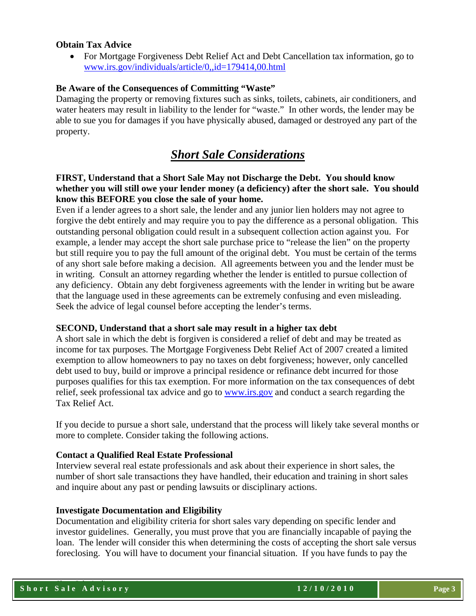## **Obtain Tax Advice**

• For Mortgage Forgiveness Debt Relief Act and Debt Cancellation tax information, go to [www.irs.gov/individuals/article/0,,id=179414,00.html](http://www.irs.gov/individuals/article/0,,id=179414,00.html)

## **Be Aware of the Consequences of Committing "Waste"**

Damaging the property or removing fixtures such as sinks, toilets, cabinets, air conditioners, and water heaters may result in liability to the lender for "waste." In other words, the lender may be able to sue you for damages if you have physically abused, damaged or destroyed any part of the property.

# *Short Sale Considerations*

# **FIRST, Understand that a Short Sale May not Discharge the Debt. You should know whether you will still owe your lender money (a deficiency) after the short sale. You should know this BEFORE you close the sale of your home.**

Even if a lender agrees to a short sale, the lender and any junior lien holders may not agree to forgive the debt entirely and may require you to pay the difference as a personal obligation. This outstanding personal obligation could result in a subsequent collection action against you. For example, a lender may accept the short sale purchase price to "release the lien" on the property but still require you to pay the full amount of the original debt. You must be certain of the terms of any short sale before making a decision. All agreements between you and the lender must be in writing. Consult an attorney regarding whether the lender is entitled to pursue collection of any deficiency. Obtain any debt forgiveness agreements with the lender in writing but be aware that the language used in these agreements can be extremely confusing and even misleading. Seek the advice of legal counsel before accepting the lender's terms.

#### **SECOND, Understand that a short sale may result in a higher tax debt**

A short sale in which the debt is forgiven is considered a relief of debt and may be treated as income for tax purposes. The Mortgage Forgiveness Debt Relief Act of 2007 created a limited exemption to allow homeowners to pay no taxes on debt forgiveness; however, only cancelled debt used to buy, build or improve a principal residence or refinance debt incurred for those purposes qualifies for this tax exemption. For more information on the tax consequences of debt relief, seek professional tax advice and go to [www.irs.gov](http://www.irs.gov/) and conduct a search regarding the Tax Relief Act.

If you decide to pursue a short sale, understand that the process will likely take several months or more to complete. Consider taking the following actions.

#### **Contact a Qualified Real Estate Professional**

Interview several real estate professionals and ask about their experience in short sales, the number of short sale transactions they have handled, their education and training in short sales and inquire about any past or pending lawsuits or disciplinary actions.

#### **Investigate Documentation and Eligibility**

Documentation and eligibility criteria for short sales vary depending on specific lender and investor guidelines. Generally, you must prove that you are financially incapable of paying the loan. The lender will consider this when determining the costs of accepting the short sale versus foreclosing. You will have to document your financial situation. If you have funds to pay the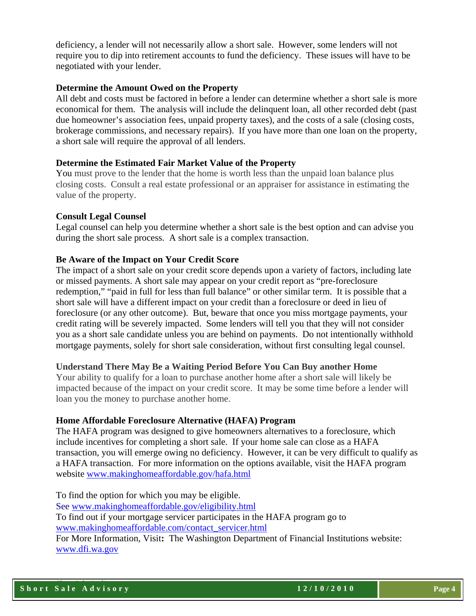deficiency, a lender will not necessarily allow a short sale. However, some lenders will not require you to dip into retirement accounts to fund the deficiency. These issues will have to be negotiated with your lender.

## **Determine the Amount Owed on the Property**

All debt and costs must be factored in before a lender can determine whether a short sale is more economical for them. The analysis will include the delinquent loan, all other recorded debt (past due homeowner's association fees, unpaid property taxes), and the costs of a sale (closing costs, brokerage commissions, and necessary repairs). If you have more than one loan on the property, a short sale will require the approval of all lenders.

### **Determine the Estimated Fair Market Value of the Property**

You must prove to the lender that the home is worth less than the unpaid loan balance plus closing costs. Consult a real estate professional or an appraiser for assistance in estimating the value of the property.

### **Consult Legal Counsel**

Legal counsel can help you determine whether a short sale is the best option and can advise you during the short sale process. A short sale is a complex transaction.

### **Be Aware of the Impact on Your Credit Score**

The impact of a short sale on your credit score depends upon a variety of factors, including late or missed payments. A short sale may appear on your credit report as "pre-foreclosure redemption," "paid in full for less than full balance" or other similar term. It is possible that a short sale will have a different impact on your credit than a foreclosure or deed in lieu of foreclosure (or any other outcome). But, beware that once you miss mortgage payments, your credit rating will be severely impacted. Some lenders will tell you that they will not consider you as a short sale candidate unless you are behind on payments. Do not intentionally withhold mortgage payments, solely for short sale consideration, without first consulting legal counsel.

#### **Understand There May Be a Waiting Period Before You Can Buy another Home**

Your ability to qualify for a loan to purchase another home after a short sale will likely be impacted because of the impact on your credit score. It may be some time before a lender will loan you the money to purchase another home.

#### **Home Affordable Foreclosure Alternative (HAFA) Program**

The HAFA program was designed to give homeowners alternatives to a foreclosure, which include incentives for completing a short sale. If your home sale can close as a HAFA transaction, you will emerge owing no deficiency. However, it can be very difficult to qualify as a HAFA transaction. For more information on the options available, visit the HAFA program website [www.makinghomeaffordable.gov/hafa.html](http://www.makinghomeaffordable.gov/hafa.html) 

To find the option for which you may be eligible. See [www.makinghomeaffordable.gov/eligibility.html](http://www.makinghomeaffordable.gov/eligibility.html) To find out if your mortgage servicer participates in the HAFA program go to [www.makinghomeaffordable.com/contact\\_servicer.html](http://www.makinghomeaffordable.com/contact_servicer.html) For More Information, Visit**:** The Washington Department of Financial Institutions website: [www.dfi.wa.gov](http://www.dfi.wa.gov/)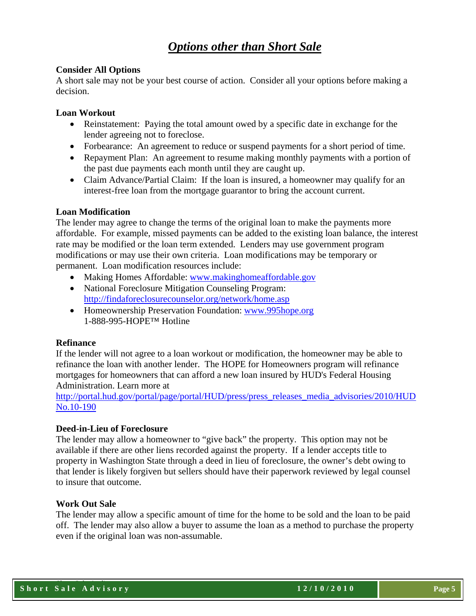# *Options other than Short Sale*

## **Consider All Options**

A short sale may not be your best course of action. Consider all your options before making a decision.

### **Loan Workout**

- Reinstatement: Paying the total amount owed by a specific date in exchange for the lender agreeing not to foreclose.
- Forbearance: An agreement to reduce or suspend payments for a short period of time.
- Repayment Plan: An agreement to resume making monthly payments with a portion of the past due payments each month until they are caught up.
- Claim Advance/Partial Claim: If the loan is insured, a homeowner may qualify for an interest-free loan from the mortgage guarantor to bring the account current.

### **Loan Modification**

The lender may agree to change the terms of the original loan to make the payments more affordable. For example, missed payments can be added to the existing loan balance, the interest rate may be modified or the loan term extended. Lenders may use government program modifications or may use their own criteria. Loan modifications may be temporary or permanent. Loan modification resources include:

- Making Homes Affordable: [www.makinghomeaffordable.gov](http://www.makinghomeaffordable.gov/)
- National Foreclosure Mitigation Counseling Program: <http://findaforeclosurecounselor.org/network/home.asp>
- Homeownership Preservation Foundation: www.995hope.org 1-888-995-HOPE™ Hotline

#### **Refinance**

If the lender will not agree to a loan workout or modification, the homeowner may be able to refinance the loan with another lender. The HOPE for Homeowners program will refinance mortgages for homeowners that can afford a new loan insured by HUD's Federal Housing Administration. Learn more at

[http://portal.hud.gov/portal/page/portal/HUD/press/press\\_releases\\_media\\_advisories/2010/HUD](http://portal.hud.gov/portal/page/portal/HUD/press/press_releases_media_advisories/2010/HUDNo.10-190) [No.10-190](http://portal.hud.gov/portal/page/portal/HUD/press/press_releases_media_advisories/2010/HUDNo.10-190)

# **Deed-in-Lieu of Foreclosure**

The lender may allow a homeowner to "give back" the property. This option may not be available if there are other liens recorded against the property. If a lender accepts title to property in Washington State through a deed in lieu of foreclosure, the owner's debt owing to that lender is likely forgiven but sellers should have their paperwork reviewed by legal counsel to insure that outcome.

#### **Work Out Sale**

The lender may allow a specific amount of time for the home to be sold and the loan to be paid off. The lender may also allow a buyer to assume the loan as a method to purchase the property even if the original loan was non-assumable.